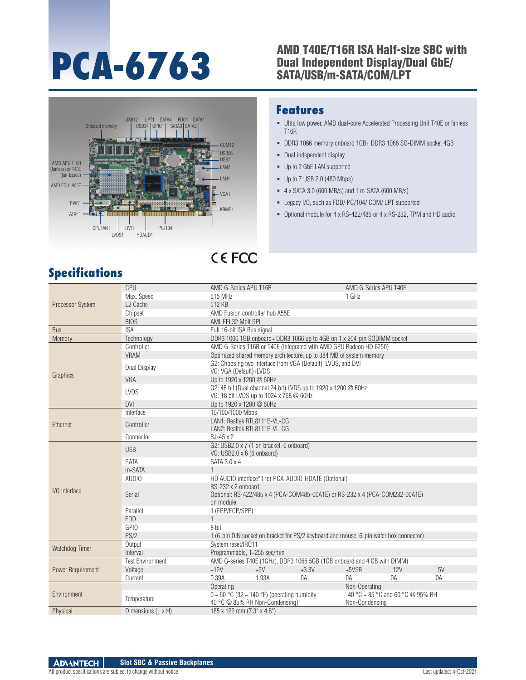### **PCA-6763** AMD T40E/T16R ISA Half-size SBC with<br>SATA/USB/m-SATA/COM/LPT Dual Independent Display/Dual GbE/ SATA/USB/m-SATA/COM/LPT



#### **Features**

- Ultra low power, AMD dual-core Accelerated Processing Unit T40E or fanless T16R
- DDR3 1066 memory onboard 1GB+ DDR3 1066 SO-DIMM socket 4GB
- Dual independent display
- Up to 2 GbE LAN supported
- Up to 7 USB 2.0 (480 Mbps)
- 4 x SATA 3.0 (600 MB/s) and 1 m-SATA (600 MB/s)
- Legacy I/O, such as FDD/ PC/104/ COM/ LPT supported
- Optional module for 4 x RS-422/485 or 4 x RS-232, TPM and HD audio

## **Specifications**

| Processor System  | CPU                     | AMD G-Series APU T16R                                                                                           |       |                                                                                        | AMD G-Series APU T40E                               |        |       |  |  |  |
|-------------------|-------------------------|-----------------------------------------------------------------------------------------------------------------|-------|----------------------------------------------------------------------------------------|-----------------------------------------------------|--------|-------|--|--|--|
|                   | Max. Speed              | 615 MHz                                                                                                         |       |                                                                                        | 1 GHz                                               |        |       |  |  |  |
|                   | L <sub>2</sub> Cache    | 512 KB                                                                                                          |       |                                                                                        |                                                     |        |       |  |  |  |
|                   | Chipset                 | AMD Fusion controller hub A55E                                                                                  |       |                                                                                        |                                                     |        |       |  |  |  |
|                   | <b>BIOS</b>             | AMI-EFI 32 Mbit SPI                                                                                             |       |                                                                                        |                                                     |        |       |  |  |  |
| <b>Bus</b>        | <b>ISA</b>              | Full 16-bit ISA Bus signal                                                                                      |       |                                                                                        |                                                     |        |       |  |  |  |
| Memory            | Technology              |                                                                                                                 |       | DDR3 1066 1GB onboard+ DDR3 1066 up to 4GB on 1 x 204-pin SODIMM socket                |                                                     |        |       |  |  |  |
| Graphics          | Controller              |                                                                                                                 |       | AMD G-Series T16R or T40E (Integrated wtih AMD GPU Radeon HD 6250)                     |                                                     |        |       |  |  |  |
|                   | <b>VRAM</b>             | Optimized shared memory architecture, up to 384 MB of system memory                                             |       |                                                                                        |                                                     |        |       |  |  |  |
|                   | Dual Display            | VG: VGA (Default)+LVDS                                                                                          |       | G2: Choosing two interface from VGA (Default), LVDS, and DVI                           |                                                     |        |       |  |  |  |
|                   | VGA                     | Up to 1920 x 1200 @ 60Hz                                                                                        |       |                                                                                        |                                                     |        |       |  |  |  |
|                   | <b>LVDS</b>             | VG: 18 bit LVDS up to 1024 x 768 @ 60Hz                                                                         |       | G2: 48 bit (Dual channel 24 bit) LVDS up to 1920 x 1200 @ 60Hz                         |                                                     |        |       |  |  |  |
|                   | <b>DVI</b>              | Up to 1920 x 1200 @ 60Hz                                                                                        |       |                                                                                        |                                                     |        |       |  |  |  |
| Ethernet          | Interface               | 10/100/1000 Mbps                                                                                                |       |                                                                                        |                                                     |        |       |  |  |  |
|                   | Controller              | LAN1: Realtek RTL8111E-VL-CG<br>LAN2: Realtek RTL8111E-VL-CG                                                    |       |                                                                                        |                                                     |        |       |  |  |  |
|                   | Connector               | $RJ-45 \times 2$                                                                                                |       |                                                                                        |                                                     |        |       |  |  |  |
|                   | <b>USB</b>              | G2: USB2.0 x 7 (1 on bracket, 6 onboard)<br>VG: USB2.0 x 6 (6 onbaord)                                          |       |                                                                                        |                                                     |        |       |  |  |  |
|                   | <b>SATA</b>             | SATA 3.0 x 4                                                                                                    |       |                                                                                        |                                                     |        |       |  |  |  |
|                   | m-SATA                  |                                                                                                                 |       |                                                                                        |                                                     |        |       |  |  |  |
|                   | AUDIO                   |                                                                                                                 |       | HD AUDIO interface*1 for PCA-AUDIO-HDA1E (Optional)                                    |                                                     |        |       |  |  |  |
| I/O Interface     | Serial                  | RS-232 x 2 onboard<br>Optional: RS-422/485 x 4 (PCA-COM485-00A1E) or RS-232 x 4 (PCA-COM232-00A1E)<br>on module |       |                                                                                        |                                                     |        |       |  |  |  |
|                   | Parallel                | 1 (EPP/ECP/SPP)                                                                                                 |       |                                                                                        |                                                     |        |       |  |  |  |
|                   | <b>FDD</b>              | $\mathbf{1}$                                                                                                    |       |                                                                                        |                                                     |        |       |  |  |  |
|                   | <b>GPIO</b>             | 8 bit                                                                                                           |       |                                                                                        |                                                     |        |       |  |  |  |
|                   | PS/2                    |                                                                                                                 |       | 1 (6-pin DIN socket on bracket for PS/2 keyboard and mouse, 6-pin wafer box connector) |                                                     |        |       |  |  |  |
| Watchdog Timer    | Output                  | System reset/IRQ11                                                                                              |       |                                                                                        |                                                     |        |       |  |  |  |
|                   | Interval                | Programmable, 1~255 sec/min                                                                                     |       |                                                                                        |                                                     |        |       |  |  |  |
| Power Requirement | <b>Test Environment</b> |                                                                                                                 |       | AMD G-series T40E (1GHz), DDR3 1066 5GB (1GB onboard and 4 GB with DIMM)               |                                                     |        |       |  |  |  |
|                   | Voltage                 | $+12V$                                                                                                          | $+5V$ | $+3.3V$                                                                                | $+5VSB$                                             | $-12V$ | $-5V$ |  |  |  |
|                   | Current                 | 0.39A                                                                                                           | 1.93A | 0A                                                                                     | 0A                                                  | 0A     | 0A    |  |  |  |
| Environment       |                         | Non-Operating<br>Operating                                                                                      |       |                                                                                        |                                                     |        |       |  |  |  |
|                   | Temperature             | $0 \sim 60$ °C (32 ~ 140 °F) (operating humidity:<br>40 °C @ 85% RH Non-Condensing)                             |       |                                                                                        | -40 °C ~ 85 °C and 60 °C @ 95% RH<br>Non-Condensing |        |       |  |  |  |
| Physical          | Dimensions (L x H)      | 185 x 122 mm (7.3" x 4.8")                                                                                      |       |                                                                                        |                                                     |        |       |  |  |  |